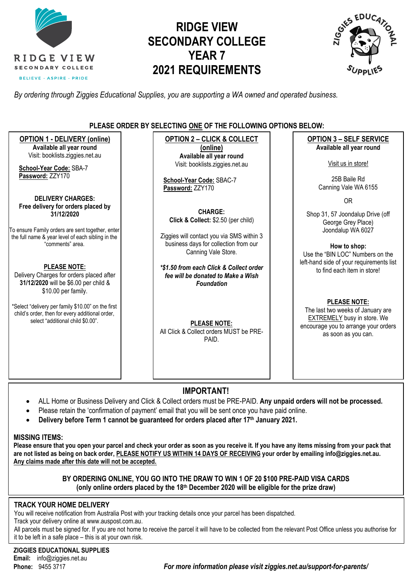

# **RIDGE VIEW SECONDARY COLLEGE YEAR 7 2021 REQUIREMENTS**



*By ordering through Ziggies Educational Supplies, you are supporting a WA owned and operated business.*

### **PLEASE ORDER BY SELECTING ONE OF THE FOLLOWING OPTIONS BELOW:**

**OPTION 1 - DELIVERY (online) Available all year round** Visit: [booklists.ziggies.net.au](http://www.booklists.ziggies.net.au/) **School-Year Code:** SBA-7 **Password:** ZZY170 **DELIVERY CHARGES: Free delivery for orders placed by 31/12/2020** To ensure Family orders are sent together, enter the full name & year level of each sibling in the "comments" area. **PLEASE NOTE:** Delivery Charges for orders placed after **31/12/2020** will be \$6.00 per child & \$10.00 per family. \*Select "delivery per family \$10.00" on the first child's order, then for every additional order, select "additional child \$0.00". **OPTION 2 – CLICK & COLLECT (online) Available all year round** Visit: [booklists.ziggies.net.au](http://www.booklists.ziggies.net.au/) **School-Year Code:** SBAC-7 **Password:** ZZY170 **CHARGE: Click & Collect:** \$2.50 (per child) Ziggies will contact you via SMS within 3 business days for collection from our Canning Vale Store. *\*\$1.50 from each Click & Collect order fee will be donated to Make a Wish Foundation* **PLEASE NOTE:** All Click & Collect orders MUST be PRE-PAID. **OPTION 3 – SELF SERVICE Available all year round** Visit us in store! 25B Baile Rd Canning Vale WA 6155 OR Shop 31, 57 Joondalup Drive (off George Grey Place) Joondalup WA 6027 **How to shop:** Use the "BIN LOC" Numbers on the left-hand side of your requirements list to find each item in store! **PLEASE NOTE:**  The last two weeks of January are EXTREMELY busy in store. We encourage you to arrange your orders as soon as you can.

## **IMPORTANT!**

- ALL Home or Business Delivery and Click & Collect orders must be PRE-PAID. **Any unpaid orders will not be processed.**
- Please retain the 'confirmation of payment' email that you will be sent once you have paid online.
- **Delivery before Term 1 cannot be guaranteed for orders placed after 17th January 2021.**

#### **MISSING ITEMS:**

**Please ensure that you open your parcel and check your order as soon as you receive it. If you have any items missing from your pack that are not listed as being on back order, PLEASE NOTIFY US WITHIN 14 DAYS OF RECEIVING your order by emailing info@ziggies.net.au. Any claims made after this date will not be accepted.**

### **BY ORDERING ONLINE, YOU GO INTO THE DRAW TO WIN 1 OF 20 \$100 PRE-PAID VISA CARDS (only online orders placed by the 18th December 2020 will be eligible for the prize draw)**

### **TRACK YOUR HOME DELIVERY**

You will receive notification from Australia Post with your tracking details once your parcel has been dispatched.

Track your delivery online at [www.auspost.com.au.](http://www.auspost.com.au/)

All parcels must be signed for. If you are not home to receive the parcel it will have to be collected from the relevant Post Office unless you authorise for it to be left in a safe place – this is at your own risk.

**ZIGGIES EDUCATIONAL SUPPLIES Email:** info@ziggies.net.au

**Phone:** 9455 3717 *For more information please visit ziggies.net.au/support-for-parents/*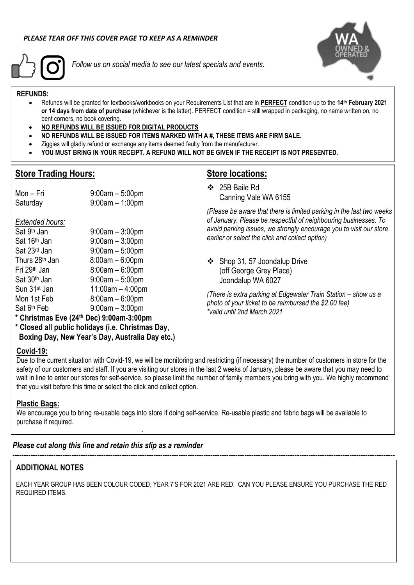

*Follow us on social media to see our latest specials and events.*



### **REFUNDS:**

- Refunds will be granted for textbooks/workbooks on your Requirements List that are in **PERFECT** condition up to the **14 th February 2021 or 14 days from date of purchase** (whichever is the latter). PERFECT condition = still wrapped in packaging, no name written on, no bent corners, no book covering.
- **NO REFUNDS WILL BE ISSUED FOR DIGITAL PRODUCTS**

 $9:00$ am –  $3:00$ pm

 $9:00$ am – 5:00pm

 $9:00$ am – 3:00pm

- **NO REFUNDS WILL BE ISSUED FOR ITEMS MARKED WITH A #, THESE ITEMS ARE FIRM SALE.**
- Ziggies will gladly refund or exchange any items deemed faulty from the manufacturer.
- **YOU MUST BRING IN YOUR RECEIPT. A REFUND WILL NOT BE GIVEN IF THE RECEIPT IS NOT PRESENTED.**

### **Store Trading Hours:**

*Extended hours:* Sat 9<sup>th</sup> Jan

## **Store locations:**

❖ 25B Baile Rd Canning Vale WA 6155

*(Please be aware that there is limited parking in the last two weeks of January. Please be respectful of neighbouring businesses. To avoid parking issues, we strongly encourage you to visit our store earlier or select the click and collect option)*

❖ Shop 31, 57 Joondalup Drive (off George Grey Place) Joondalup WA 6027

*(There is extra parking at Edgewater Train Station – show us a photo of your ticket to be reimbursed the \$2.00 fee) \*valid until 2nd March 2021*

**\* Christmas Eve (24th Dec) 9:00am-3:00pm**

Mon – Fri 9:00am – 5:00pm Saturday 9:00am – 1:00pm

 $\text{Sat } 16^{\text{th}}$  Jan  $\text{Sat } 23^{\text{rd}}$  Jan  $\text{Sat } 9:00$ am – 5:00pm

Thurs  $28<sup>th</sup>$  Jan  $8:00$ am –  $6:00$ pm Fri 29th Jan 8:00am – 6:00pm  $Sat 30<sup>th</sup> Jan$  9:00am – 5:00pm Sun 31st Jan 11:00am – 4:00pm Mon 1st Feb 8:00am – 6:00pm

**\* Closed all public holidays (i.e. Christmas Day, Boxing Day, New Year's Day, Australia Day etc.)**

### **Covid-19:**

Sat 6<sup>th</sup> Feb

Due to the current situation with Covid-19, we will be monitoring and restricting (if necessary) the number of customers in store for the safety of our customers and staff. If you are visiting our stores in the last 2 weeks of January, please be aware that you may need to wait in line to enter our stores for self-service, so please limit the number of family members you bring with you. We highly recommend that you visit before this time or select the click and collect option.

### **Plastic Bags:**

We encourage you to bring re-usable bags into store if doing self-service. Re-usable plastic and fabric bags will be available to purchase if required.

### *Please cut along this line and retain this slip as a reminder*

**.**

### **ADDITIONAL NOTES**

EACH YEAR GROUP HAS BEEN COLOUR CODED, YEAR 7'S FOR 2021 ARE RED. CAN YOU PLEASE ENSURE YOU PURCHASE THE RED REQUIRED ITEMS.

**------------------------------------------------------------------------------------------------------------------------------------------------------------------------**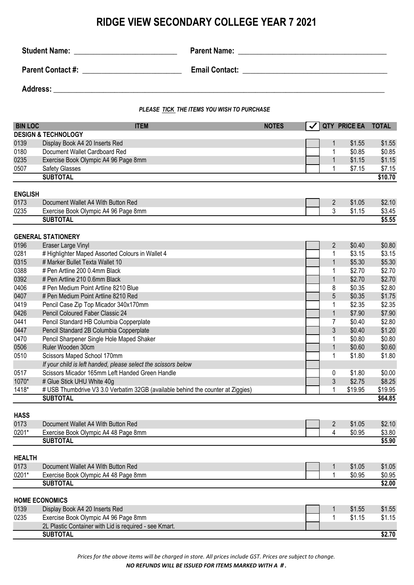## **RIDGE VIEW SECONDARY COLLEGE YEAR 7 2021**

|                |                                                                                 | PLEASE TICK THE ITEMS YOU WISH TO PURCHASE |   |                          |              |  |
|----------------|---------------------------------------------------------------------------------|--------------------------------------------|---|--------------------------|--------------|--|
| <b>BIN LOC</b> | <b>ITEM</b>                                                                     | <b>NOTES</b>                               | ✓ | <b>QTY PRICE EA</b>      | <b>TOTAL</b> |  |
|                | <b>DESIGN &amp; TECHNOLOGY</b>                                                  |                                            |   |                          |              |  |
| 0139           | Display Book A4 20 Inserts Red                                                  |                                            |   | \$1.55<br>$\mathbf{1}$   | \$1.55       |  |
| 0180           | Document Wallet Cardboard Red                                                   |                                            |   | \$0.85<br>1              | \$0.85       |  |
| 0235           | Exercise Book Olympic A4 96 Page 8mm                                            |                                            |   | $\mathbf{1}$<br>\$1.15   | \$1.15       |  |
| 0507           | Safety Glasses                                                                  |                                            |   | 1<br>\$7.15              | \$7.15       |  |
|                | <b>SUBTOTAL</b>                                                                 |                                            |   |                          | \$10.70      |  |
|                |                                                                                 |                                            |   |                          |              |  |
| <b>ENGLISH</b> |                                                                                 |                                            |   |                          |              |  |
| 0173           | Document Wallet A4 With Button Red                                              |                                            |   | $\overline{2}$<br>\$1.05 | \$2.10       |  |
| 0235           | Exercise Book Olympic A4 96 Page 8mm                                            |                                            |   | 3<br>\$1.15              | \$3.45       |  |
|                | <b>SUBTOTAL</b>                                                                 |                                            |   |                          | \$5.55       |  |
|                | <b>GENERAL STATIONERY</b>                                                       |                                            |   |                          |              |  |
| 0196           | Eraser Large Vinyl                                                              |                                            |   | $\overline{2}$<br>\$0.40 | \$0.80       |  |
| 0281           | # Highlighter Maped Assorted Colours in Wallet 4                                |                                            |   | \$3.15<br>1              | \$3.15       |  |
| 0315           | # Marker Bullet Texta Wallet 10                                                 |                                            |   | $\mathbf{1}$<br>\$5.30   | \$5.30       |  |
| 0388           | # Pen Artline 200 0.4mm Black                                                   |                                            |   | 1<br>\$2.70              | \$2.70       |  |
| 0392           | # Pen Artline 210 0.6mm Black                                                   |                                            |   | $\mathbf{1}$<br>\$2.70   | \$2.70       |  |
| 0406           | # Pen Medium Point Artline 8210 Blue                                            |                                            |   | 8<br>\$0.35              | \$2.80       |  |
| 0407           | # Pen Medium Point Artline 8210 Red                                             |                                            |   | 5<br>\$0.35              | \$1.75       |  |
| 0419           | Pencil Case Zip Top Micador 340x170mm                                           |                                            |   | 1<br>\$2.35              | \$2.35       |  |
| 0426           | Pencil Coloured Faber Classic 24                                                |                                            |   | $\mathbf{1}$<br>\$7.90   | \$7.90       |  |
| 0441           | Pencil Standard HB Columbia Copperplate                                         |                                            |   | 7<br>\$0.40              | \$2.80       |  |
| 0447           | Pencil Standard 2B Columbia Copperplate                                         |                                            |   | 3<br>\$0.40              | \$1.20       |  |
| 0470           | Pencil Sharpener Single Hole Maped Shaker                                       |                                            |   | \$0.80<br>1              | \$0.80       |  |
| 0506           | Ruler Wooden 30cm                                                               |                                            |   | $\mathbf{1}$<br>\$0.60   | \$0.60       |  |
| 0510           | Scissors Maped School 170mm                                                     |                                            |   | \$1.80<br>1              | \$1.80       |  |
|                | If your child is left handed, please select the scissors below                  |                                            |   |                          |              |  |
| 0517           | Scissors Micador 165mm Left Handed Green Handle                                 |                                            |   | \$1.80<br>0              | \$0.00       |  |
| 1070*          | # Glue Stick UHU White 40g                                                      |                                            |   | 3<br>\$2.75              | \$8.25       |  |
| 1418*          | # USB Thumbdrive V3 3.0 Verbatim 32GB (available behind the counter at Ziggies) |                                            |   | 1<br>\$19.95             | \$19.95      |  |
|                | <b>SUBTOTAL</b>                                                                 |                                            |   |                          | \$64.85      |  |
|                |                                                                                 |                                            |   |                          |              |  |
| <b>HASS</b>    |                                                                                 |                                            |   |                          |              |  |
| 0173           | Document Wallet A4 With Button Red                                              |                                            |   | $\overline{2}$<br>\$1.05 | \$2.10       |  |
| 0201*          | Exercise Book Olympic A4 48 Page 8mm                                            |                                            |   | 4<br>\$0.95              | \$3.80       |  |
|                | <b>SUBTOTAL</b>                                                                 |                                            |   |                          | \$5.90       |  |
|                |                                                                                 |                                            |   |                          |              |  |
| <b>HEALTH</b>  |                                                                                 |                                            |   |                          |              |  |
| 0173           | Document Wallet A4 With Button Red                                              |                                            |   | \$1.05<br>$\mathbf{1}$   | \$1.05       |  |
| 0201*          | Exercise Book Olympic A4 48 Page 8mm                                            |                                            |   | 1<br>\$0.95              | \$0.95       |  |
|                | <b>SUBTOTAL</b>                                                                 |                                            |   |                          | \$2.00       |  |
|                | <b>HOME ECONOMICS</b>                                                           |                                            |   |                          |              |  |
| 0139           | Display Book A4 20 Inserts Red                                                  |                                            |   | \$1.55<br>1              | \$1.55       |  |
| 0235           | Exercise Book Olympic A4 96 Page 8mm                                            |                                            |   | \$1.15<br>1              | \$1.15       |  |
|                | 2L Plastic Container with Lid is required - see Kmart.                          |                                            |   |                          |              |  |
|                | <b>SUBTOTAL</b>                                                                 |                                            |   |                          | \$2.70       |  |

*Prices for the above items will be charged in store. All prices include GST. Prices are subject to change.* 

*NO REFUNDS WILL BE ISSUED FOR ITEMS MARKED WITH A # .*